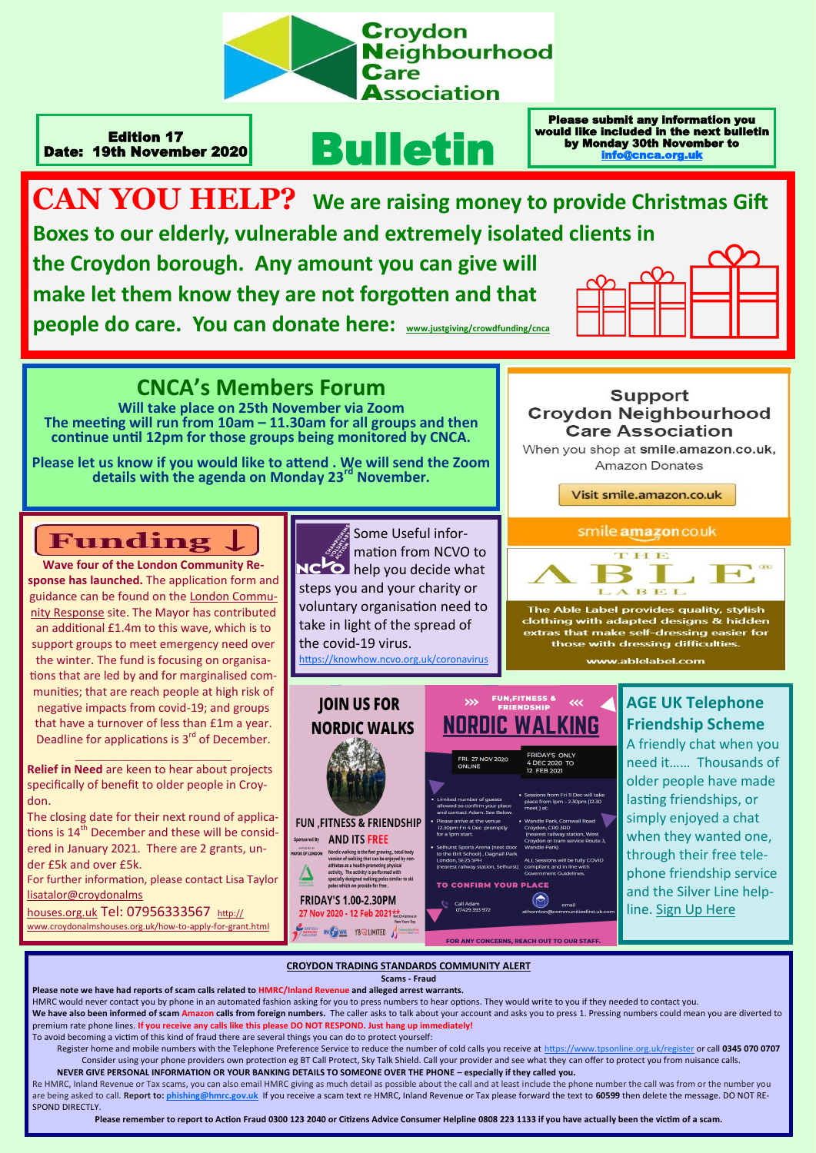

Edition 17 Date: 19th November 2020

# Bulletin

**CAN YOU HELP? We are raising money to provide Christmas Gift Boxes to our elderly, vulnerable and extremely isolated clients in the Croydon borough. Any amount you can give will** 

**make let them know they are not forgotten and that people do care. You can donate here: [www.justgiving/crowdfunding/cnca](https://www.justgiving.com/crowdfunding/kd-cnca?utm_medium=email&utm_source=ExactTarget&utm_campaign=20201117_)**



Please submit any information you would like included in the next bulletin by Monday 30th November to [info@cnca.org.uk](mailto:info@cnca.org.uk)

## **CNCA's Members Forum**

**Will take place on 25th November via Zoom The meeting will run from 10am – 11.30am for all groups and then continue until 12pm for those groups being monitored by CNCA.**

**Please let us know if you would like to attend . We will send the Zoom details with the agenda on Monday 23rd November.**

# Funding.

**Wave four of the London Community Response has launched.** The application form and guidance can be found on the [London Commu](https://londonfunders.us2.list-manage.com/track/click?u=7bdc3521dbb689f08db0f3250&id=0f9f2fe9d3&e=34aae9c1da)[nity Response](https://londonfunders.us2.list-manage.com/track/click?u=7bdc3521dbb689f08db0f3250&id=0f9f2fe9d3&e=34aae9c1da) site. The Mayor has contributed an additional £1.4m to this wave, which is to support groups to meet emergency need over the winter. The fund is focusing on organisations that are led by and for marginalised communities; that are reach people at high risk of negative impacts from covid-19; and groups that have a turnover of less than £1m a year. Deadline for applications is 3<sup>rd</sup> of December.  $\mathcal{L}_\text{max}$ 

**Relief in Need** are keen to hear about projects specifically of benefit to older people in Croydon.

The closing date for their next round of applications is 14<sup>th</sup> December and these will be considered in January 2021. There are 2 grants, under £5k and over £5k.

For further information, please contact Lisa Taylor [lisatalor@croydonalms](mailto:lisataylor@croydonalmshouses.org.uk)

[houses.org.uk](mailto:lisataylor@croydonalmshouses.org.uk) Tel: 07956333567 [http://](http://www.croydonalmshouses.org.uk/how-to-apply-for-grant.html) [www.croydonalmshouses.org.uk/how](http://www.croydonalmshouses.org.uk/how-to-apply-for-grant.html)-to-apply-for-grant.html





**Support** 

Visit smile.amazon.co.uk



The Able Label provides quality, stylish<br>clothing with adapted designs & hidden extras that make self-dressing easier for those with dressing difficulties. www.ablelabel.com

**FUN,FITNESS & JOIN US FOR** m **NORDIC WALKING NORDIC WALKS** 4 DEC 2020<br>12 FEB 2021 lowed so confirm your <mark>r</mark><br>nd contact Adam. See B **FUN .FITNESS & FRIENDSHIP** arrive at the venue<br>m Fri 4 Dec-promptly Sponsored By AND ITS FREE Fractional and the state proving, total-body<br>wersion of walking that can be enjoyed by non<br>athletes as a health-promoting physical<br>activity. The activity is performed with<br>specially designed walking poles similar to ski<br>po **TO CONFIRM YOUR PLACE FRIDAY'S 1.00-2.30PM** Call Adam<br>07429 393 972 27 Nov 2020 - 12 Feb 2021 \*\* **SERVICE IN GENERAL YB** WALIMITED

FOR ANY CONCERNS, REACH OUT TO OUR STAFF

### **AGE UK Telephone Friendship Scheme**

A friendly chat when you need it…… Thousands of older people have made lasting friendships, or simply enjoyed a chat when they wanted one, through their free telephone friendship service and the Silver Line helpline. [Sign Up Here](https://www.ageuk.org.uk/services/befriending-services/sign-up-for-telephone-befriending/)

## **CROYDON TRADING STANDARDS COMMUNITY ALERT**

**Scams - Fraud**

**Please note we have had reports of scam calls related to HMRC/Inland Revenue and alleged arrest warrants.**  HMRC would never contact you by phone in an automated fashion asking for you to press numbers to hear options. They would write to you if they needed to contact you. We have also been informed of scam Amazon calls from foreign numbers. The caller asks to talk about your account and asks you to press 1. Pressing numbers could mean you are diverted to premium rate phone lines. **If you receive any calls like this please DO NOT RESPOND. Just hang up immediately!**

To avoid becoming a victim of this kind of fraud there are several things you can do to protect yourself:

 $\Delta$ 

Register home and mobile numbers with the Telephone Preference Service to reduce the number of cold calls you receive at <https://www.tpsonline.org.uk/register> or call **0345 070 0707** Consider using your phone providers own protection eg BT Call Protect, Sky Talk Shield. Call your provider and see what they can offer to protect you from nuisance calls

**NEVER GIVE PERSONAL INFORMATION OR YOUR BANKING DETAILS TO SOMEONE OVER THE PHONE – especially if they called you.** Re HMRC, Inland Revenue or Tax scams, you can also email HMRC giving as much detail as possible about the call and at least include the phone number the call was from or the number you are being asked to call. **Report to: [phishing@hmrc.gov.uk](mailto:phishing@hmrc.gov.uk)** If you receive a scam text re HMRC, Inland Revenue or Tax please forward the text to **60599** then delete the message. DO NOT RE-SPOND DIRECTLY.

**Please remember to report to Action Fraud 0300 123 2040 or Citizens Advice Consumer Helpline 0808 223 1133 if you have actually been the victim of a scam.**